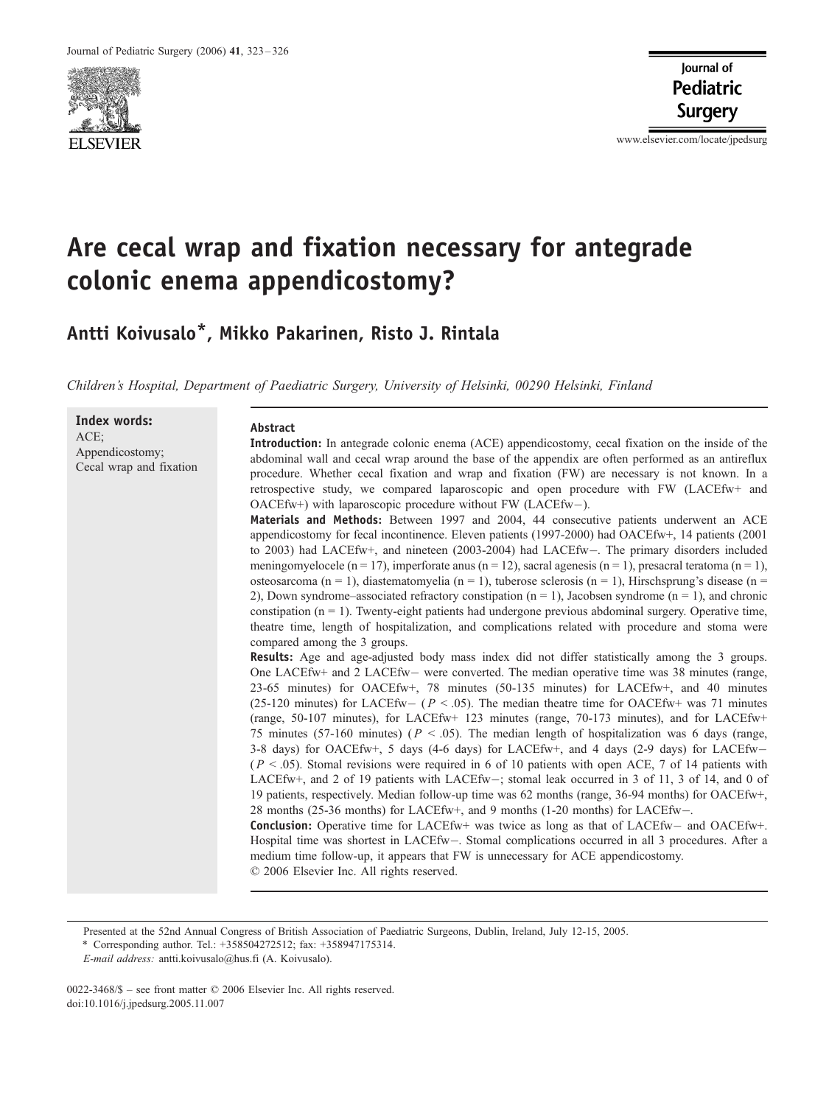

www.elsevier.com/locate/jpedsurg

# Are cecal wrap and fixation necessary for antegrade colonic enema appendicostomy?

Antti Koivusalo\*, Mikko Pakarinen, Risto J. Rintala

Children's Hospital, Department of Paediatric Surgery, University of Helsinki, 00290 Helsinki, Finland

Index words: ACE; Appendicostomy; Cecal wrap and fixation

#### Abstract

Introduction: In antegrade colonic enema (ACE) appendicostomy, cecal fixation on the inside of the abdominal wall and cecal wrap around the base of the appendix are often performed as an antireflux procedure. Whether cecal fixation and wrap and fixation (FW) are necessary is not known. In a retrospective study, we compared laparoscopic and open procedure with FW (LACEfw+ and OACEfw+) with laparoscopic procedure without FW (LACEfw-).

Materials and Methods: Between 1997 and 2004, 44 consecutive patients underwent an ACE appendicostomy for fecal incontinence. Eleven patients (1997-2000) had OACEfw+, 14 patients (2001 to 2003) had LACEfw+, and nineteen (2003-2004) had LACEfw-. The primary disorders included meningomyelocele (n = 17), imperforate anus (n = 12), sacral agenesis (n = 1), presacral teratoma (n = 1), osteosarcoma (n = 1), diastematomyelia (n = 1), tuberose sclerosis (n = 1), Hirschsprung's disease (n = 2), Down syndrome–associated refractory constipation  $(n = 1)$ , Jacobsen syndrome  $(n = 1)$ , and chronic constipation  $(n = 1)$ . Twenty-eight patients had undergone previous abdominal surgery. Operative time, theatre time, length of hospitalization, and complications related with procedure and stoma were compared among the 3 groups.

Results: Age and age-adjusted body mass index did not differ statistically among the 3 groups. One LACEfw+ and 2 LACEfw – were converted. The median operative time was 38 minutes (range, 23-65 minutes) for OACEfw+, 78 minutes (50-135 minutes) for LACEfw+, and 40 minutes (25-120 minutes) for LACEfw –  $(P < .05)$ . The median theatre time for OACEfw+ was 71 minutes (range, 50-107 minutes), for LACEfw+ 123 minutes (range, 70-173 minutes), and for LACEfw+ 75 minutes (57-160 minutes) ( $P < .05$ ). The median length of hospitalization was 6 days (range, 3-8 days) for OACEfw+, 5 days (4-6 days) for LACEfw+, and 4 days (2-9 days) for LACEfw  $(P < .05)$ . Stomal revisions were required in 6 of 10 patients with open ACE, 7 of 14 patients with LACEfw+, and 2 of 19 patients with LACEfw-; stomal leak occurred in 3 of 11, 3 of 14, and 0 of 19 patients, respectively. Median follow-up time was 62 months (range, 36-94 months) for OACEfw+, 28 months (25-36 months) for LACEfw+, and 9 months (1-20 months) for LACEfw. **Conclusion:** Operative time for LACEfw+ was twice as long as that of LACEfw- and OACEfw+. Hospital time was shortest in LACEfw-. Stomal complications occurred in all 3 procedures. After a

medium time follow-up, it appears that FW is unnecessary for ACE appendicostomy.

 $© 2006 Elsevier Inc. All rights reserved.$ 

Presented at the 52nd Annual Congress of British Association of Paediatric Surgeons, Dublin, Ireland, July 12-15, 2005.

\* Corresponding author. Tel.: +358504272512; fax: +358947175314.

0022-3468/\$ – see front matter © 2006 Elsevier Inc. All rights reserved. doi:10.1016/j.jpedsurg.2005.11.007

E-mail address: antti.koivusalo@hus.fi (A. Koivusalo).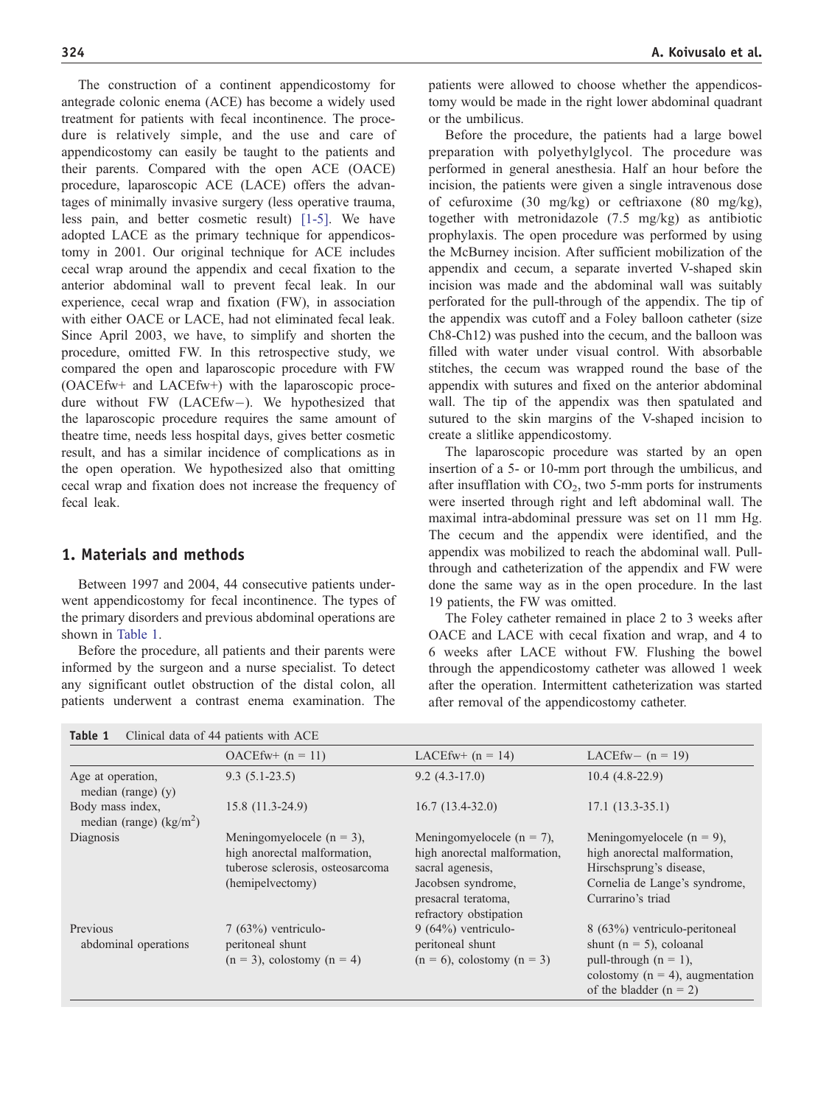The construction of a continent appendicostomy for antegrade colonic enema (ACE) has become a widely used treatment for patients with fecal incontinence. The procedure is relatively simple, and the use and care of appendicostomy can easily be taught to the patients and their parents. Compared with the open ACE (OACE) procedure, laparoscopic ACE (LACE) offers the advantages of minimally invasive surgery (less operative trauma, less pain, and better cosmetic result) [\[1-5\].](#page-3-0) We have adopted LACE as the primary technique for appendicostomy in 2001. Our original technique for ACE includes cecal wrap around the appendix and cecal fixation to the anterior abdominal wall to prevent fecal leak. In our experience, cecal wrap and fixation (FW), in association with either OACE or LACE, had not eliminated fecal leak. Since April 2003, we have, to simplify and shorten the procedure, omitted FW. In this retrospective study, we compared the open and laparoscopic procedure with FW (OACEfw+ and LACEfw+) with the laparoscopic procedure without FW (LACEfw-). We hypothesized that the laparoscopic procedure requires the same amount of theatre time, needs less hospital days, gives better cosmetic result, and has a similar incidence of complications as in the open operation. We hypothesized also that omitting cecal wrap and fixation does not increase the frequency of fecal leak.

# 1. Materials and methods

Between 1997 and 2004, 44 consecutive patients underwent appendicostomy for fecal incontinence. The types of the primary disorders and previous abdominal operations are shown in Table 1.

Before the procedure, all patients and their parents were informed by the surgeon and a nurse specialist. To detect any significant outlet obstruction of the distal colon, all patients underwent a contrast enema examination. The

**Table 1** Clinical data of  $44$  patients with  $\Lambda$ CE

patients were allowed to choose whether the appendicostomy would be made in the right lower abdominal quadrant or the umbilicus.

Before the procedure, the patients had a large bowel preparation with polyethylglycol. The procedure was performed in general anesthesia. Half an hour before the incision, the patients were given a single intravenous dose of cefuroxime (30 mg/kg) or ceftriaxone (80 mg/kg), together with metronidazole (7.5 mg/kg) as antibiotic prophylaxis. The open procedure was performed by using the McBurney incision. After sufficient mobilization of the appendix and cecum, a separate inverted V-shaped skin incision was made and the abdominal wall was suitably perforated for the pull-through of the appendix. The tip of the appendix was cutoff and a Foley balloon catheter (size Ch8-Ch12) was pushed into the cecum, and the balloon was filled with water under visual control. With absorbable stitches, the cecum was wrapped round the base of the appendix with sutures and fixed on the anterior abdominal wall. The tip of the appendix was then spatulated and sutured to the skin margins of the V-shaped incision to create a slitlike appendicostomy.

The laparoscopic procedure was started by an open insertion of a 5- or 10-mm port through the umbilicus, and after insufflation with  $CO<sub>2</sub>$ , two 5-mm ports for instruments were inserted through right and left abdominal wall. The maximal intra-abdominal pressure was set on 11 mm Hg. The cecum and the appendix were identified, and the appendix was mobilized to reach the abdominal wall. Pullthrough and catheterization of the appendix and FW were done the same way as in the open procedure. In the last 19 patients, the FW was omitted.

The Foley catheter remained in place 2 to 3 weeks after OACE and LACE with cecal fixation and wrap, and 4 to 6 weeks after LACE without FW. Flushing the bowel through the appendicostomy catheter was allowed 1 week after the operation. Intermittent catheterization was started after removal of the appendicostomy catheter.

|                                              | $OACEfw+ (n = 11)$                                                                                                    | LACEfw+ $(n = 14)$                                                                                                                                       | LACEfw- $(n = 19)$                                                                                                                                          |
|----------------------------------------------|-----------------------------------------------------------------------------------------------------------------------|----------------------------------------------------------------------------------------------------------------------------------------------------------|-------------------------------------------------------------------------------------------------------------------------------------------------------------|
| Age at operation,<br>median (range) $(y)$    | $9.3(5.1-23.5)$                                                                                                       | $9.2(4.3-17.0)$                                                                                                                                          | $10.4(4.8-22.9)$                                                                                                                                            |
| Body mass index,<br>median (range) $(kg/m2)$ | $15.8(11.3-24.9)$                                                                                                     | $16.7(13.4-32.0)$                                                                                                                                        | $17.1(13.3-35.1)$                                                                                                                                           |
| Diagnosis                                    | Meningomyelocele ( $n = 3$ ),<br>high anorectal malformation,<br>tuberose sclerosis, osteosarcoma<br>(hemipelvectomy) | Meningomyelocele ( $n = 7$ ),<br>high anorectal malformation,<br>sacral agenesis,<br>Jacobsen syndrome,<br>presacral teratoma,<br>refractory obstipation | Meningomyelocele ( $n = 9$ ),<br>high anorectal malformation,<br>Hirschsprung's disease,<br>Cornelia de Lange's syndrome,<br>Currarino's triad              |
| Previous<br>abdominal operations             | $7(63%)$ ventriculo-<br>peritoneal shunt<br>$(n = 3)$ , colostomy $(n = 4)$                                           | $9(64%)$ ventriculo-<br>peritoneal shunt<br>$(n = 6)$ , colostomy $(n = 3)$                                                                              | 8 (63%) ventriculo-peritoneal<br>shunt ( $n = 5$ ), coloanal<br>pull-through $(n = 1)$ ,<br>colostomy ( $n = 4$ ), augmentation<br>of the bladder $(n = 2)$ |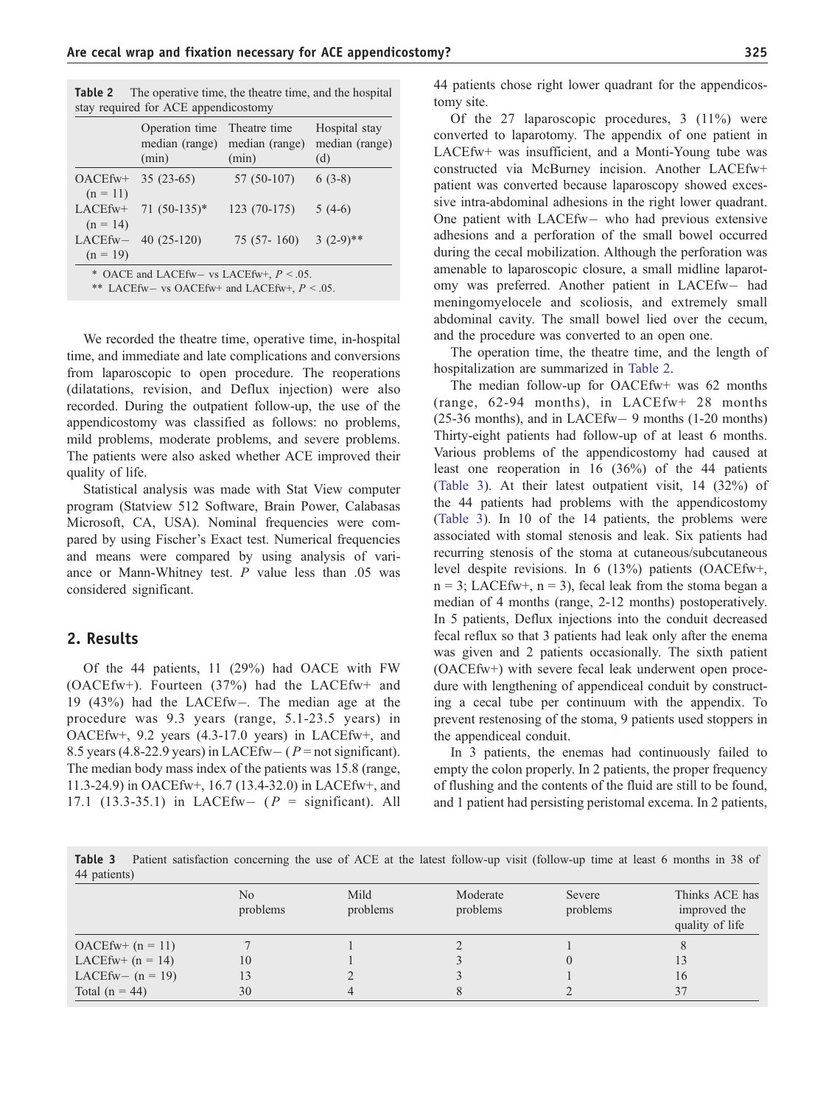| Table 2                              | The operative time, the theatre time, and the hospital |  |               |  |  |
|--------------------------------------|--------------------------------------------------------|--|---------------|--|--|
| stay required for ACE appendicostomy |                                                        |  |               |  |  |
|                                      | Operation time Theatre time                            |  | Hospital stay |  |  |

|                                             | Operation time Theatre time<br>median (range)<br>(min) | median (range)<br>(min) | Hospital stay<br>median (range)<br>(d) |  |
|---------------------------------------------|--------------------------------------------------------|-------------------------|----------------------------------------|--|
| $OACEfw+$<br>$(n = 11)$                     | $35(23-65)$                                            | $57(50-107)$            | $6(3-8)$                               |  |
| LACEfw+<br>$(n = 14)$                       | $71(50-135)^*$                                         | $123(70-175)$           | $5(4-6)$                               |  |
| $LACEfw-$<br>$(n = 19)$                     | $40(25-120)$                                           | 75 (57-160) 3 (2-9)**   |                                        |  |
| * OACE and LACEfw- vs LACEfw+, $P < 0.05$ . |                                                        |                         |                                        |  |

\*\* LACEfw- vs OACEfw+ and LACEfw+,  $P < 0.05$ .

We recorded the theatre time, operative time, in-hospital time, and immediate and late complications and conversions from laparoscopic to open procedure. The reoperations (dilatations, revision, and Deflux injection) were also recorded. During the outpatient follow-up, the use of the appendicostomy was classified as follows: no problems, mild problems, moderate problems, and severe problems. The patients were also asked whether ACE improved their quality of life.

Statistical analysis was made with Stat View computer program (Statview 512 Software, Brain Power, Calabasas Microsoft, CA, USA). Nominal frequencies were compared by using Fischer's Exact test. Numerical frequencies and means were compared by using analysis of variance or Mann-Whitney test.  $P$  value less than .05 was considered significant.

### 2. Results

Of the 44 patients, 11 (29%) had OACE with FW (OACEfw+). Fourteen (37%) had the LACEfw+ and 19 (43%) had the LACEfw-. The median age at the procedure was 9.3 years (range, 5.1-23.5 years) in OACEfw+, 9.2 years (4.3-17.0 years) in LACEfw+, and 8.5 years (4.8-22.9 years) in LACEfw –  $(P = not significant)$ . The median body mass index of the patients was 15.8 (range, 11.3-24.9) in OACEfw+, 16.7 (13.4-32.0) in LACEfw+, and 17.1 (13.3-35.1) in LACEfw-  $(P =$  significant). All 44 patients chose right lower quadrant for the appendicostomy site.

Of the 27 laparoscopic procedures, 3 (11%) were converted to laparotomy. The appendix of one patient in LACEfw+ was insufficient, and a Monti-Young tube was constructed via McBurney incision. Another LACEfw+ patient was converted because laparoscopy showed excessive intra-abdominal adhesions in the right lower quadrant. One patient with LACEfw- who had previous extensive adhesions and a perforation of the small bowel occurred during the cecal mobilization. Although the perforation was amenable to laparoscopic closure, a small midline laparotomy was preferred. Another patient in LACEfw- had meningomyelocele and scoliosis, and extremely small abdominal cavity. The small bowel lied over the cecum, and the procedure was converted to an open one.

The operation time, the theatre time, and the length of hospitalization are summarized in Table 2.

The median follow-up for OACEfw+ was 62 months (range, 62-94 months), in LACEfw+ 28 months  $(25-36$  months), and in LACEfw – 9 months  $(1-20$  months) Thirty-eight patients had follow-up of at least 6 months. Various problems of the appendicostomy had caused at least one reoperation in 16 (36%) of the 44 patients (Table 3). At their latest outpatient visit, 14 (32%) of the 44 patients had problems with the appendicostomy (Table 3). In 10 of the 14 patients, the problems were associated with stomal stenosis and leak. Six patients had recurring stenosis of the stoma at cutaneous/subcutaneous level despite revisions. In 6 (13%) patients (OACEfw+,  $n = 3$ ; LACEfw+,  $n = 3$ ), fecal leak from the stoma began a median of 4 months (range, 2-12 months) postoperatively. In 5 patients, Deflux injections into the conduit decreased fecal reflux so that 3 patients had leak only after the enema was given and 2 patients occasionally. The sixth patient (OACEfw+) with severe fecal leak underwent open procedure with lengthening of appendiceal conduit by constructing a cecal tube per continuum with the appendix. To prevent restenosing of the stoma, 9 patients used stoppers in the appendiceal conduit.

In 3 patients, the enemas had continuously failed to empty the colon properly. In 2 patients, the proper frequency of flushing and the contents of the fluid are still to be found, and 1 patient had persisting peristomal excema. In 2 patients,

Table 3 Patient satisfaction concerning the use of ACE at the latest follow-up visit (follow-up time at least 6 months in 38 of 44 patients)

|                     | No<br>problems | Mild<br>problems | Moderate<br>problems | Severe<br>problems | Thinks ACE has<br>improved the<br>quality of life |
|---------------------|----------------|------------------|----------------------|--------------------|---------------------------------------------------|
| $OACEfw + (n = 11)$ |                |                  |                      |                    |                                                   |
| LACEfw+ $(n = 14)$  | 10             |                  |                      |                    |                                                   |
| LACEfw- $(n = 19)$  |                |                  |                      |                    | 16                                                |
| Total $(n = 44)$    | 30             |                  |                      |                    | 37                                                |